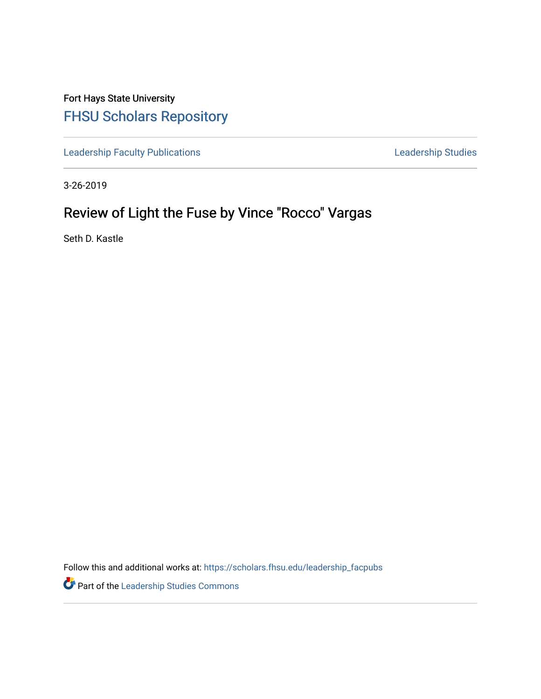Fort Hays State University [FHSU Scholars Repository](https://scholars.fhsu.edu/) 

[Leadership Faculty Publications](https://scholars.fhsu.edu/leadership_facpubs) **Leadership Studies** Leadership Studies

3-26-2019

## Review of Light the Fuse by Vince "Rocco" Vargas

Seth D. Kastle

Follow this and additional works at: [https://scholars.fhsu.edu/leadership\\_facpubs](https://scholars.fhsu.edu/leadership_facpubs?utm_source=scholars.fhsu.edu%2Fleadership_facpubs%2F16&utm_medium=PDF&utm_campaign=PDFCoverPages)

Part of the [Leadership Studies Commons](http://network.bepress.com/hgg/discipline/1250?utm_source=scholars.fhsu.edu%2Fleadership_facpubs%2F16&utm_medium=PDF&utm_campaign=PDFCoverPages)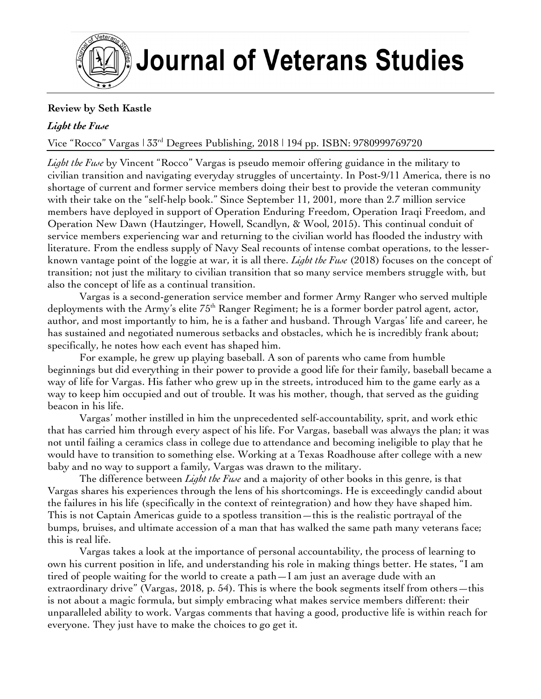

## **Review by Seth Kastle**

## *Light the Fuse*

Vice "Rocco" Vargas | 33rd Degrees Publishing, 2018 | 194 pp. ISBN: 9780999769720

*Light the Fuse* by Vincent "Rocco" Vargas is pseudo memoir offering guidance in the military to civilian transition and navigating everyday struggles of uncertainty. In Post-9/11 America, there is no shortage of current and former service members doing their best to provide the veteran community with their take on the "self-help book." Since September 11, 2001, more than 2.7 million service members have deployed in support of Operation Enduring Freedom, Operation Iraqi Freedom, and Operation New Dawn (Hautzinger, Howell, Scandlyn, & Wool, 2015). This continual conduit of service members experiencing war and returning to the civilian world has flooded the industry with literature. From the endless supply of Navy Seal recounts of intense combat operations, to the lesserknown vantage point of the loggie at war, it is all there. *Light the Fuse* (2018) focuses on the concept of transition; not just the military to civilian transition that so many service members struggle with, but also the concept of life as a continual transition.

Vargas is a second-generation service member and former Army Ranger who served multiple deployments with the Army's elite  $75<sup>th</sup>$  Ranger Regiment; he is a former border patrol agent, actor, author, and most importantly to him, he is a father and husband. Through Vargas' life and career, he has sustained and negotiated numerous setbacks and obstacles, which he is incredibly frank about; specifically, he notes how each event has shaped him.

For example, he grew up playing baseball. A son of parents who came from humble beginnings but did everything in their power to provide a good life for their family, baseball became a way of life for Vargas. His father who grew up in the streets, introduced him to the game early as a way to keep him occupied and out of trouble. It was his mother, though, that served as the guiding beacon in his life.

Vargas' mother instilled in him the unprecedented self-accountability, sprit, and work ethic that has carried him through every aspect of his life. For Vargas, baseball was always the plan; it was not until failing a ceramics class in college due to attendance and becoming ineligible to play that he would have to transition to something else. Working at a Texas Roadhouse after college with a new baby and no way to support a family, Vargas was drawn to the military.

The difference between *Light the Fuse* and a majority of other books in this genre, is that Vargas shares his experiences through the lens of his shortcomings. He is exceedingly candid about the failures in his life (specifically in the context of reintegration) and how they have shaped him. This is not Captain Americas guide to a spotless transition—this is the realistic portrayal of the bumps, bruises, and ultimate accession of a man that has walked the same path many veterans face; this is real life.

Vargas takes a look at the importance of personal accountability, the process of learning to own his current position in life, and understanding his role in making things better. He states, "I am tired of people waiting for the world to create a path—I am just an average dude with an extraordinary drive" (Vargas, 2018, p. 54). This is where the book segments itself from others—this is not about a magic formula, but simply embracing what makes service members different: their unparalleled ability to work. Vargas comments that having a good, productive life is within reach for everyone. They just have to make the choices to go get it.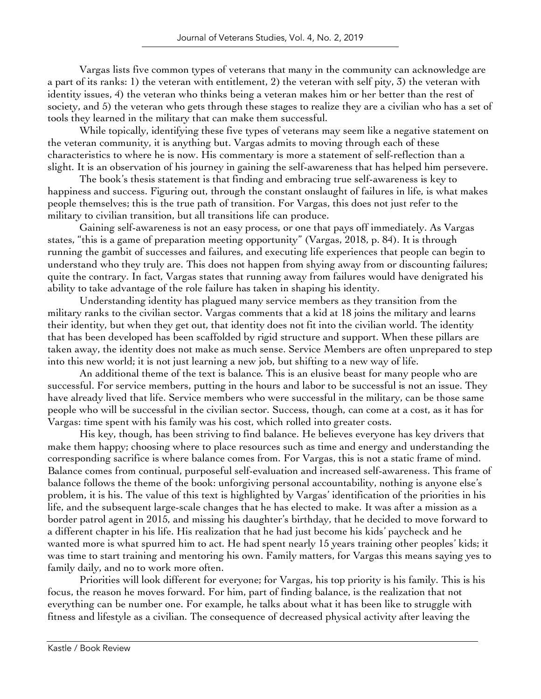Vargas lists five common types of veterans that many in the community can acknowledge are a part of its ranks: 1) the veteran with entitlement, 2) the veteran with self pity, 3) the veteran with identity issues, 4) the veteran who thinks being a veteran makes him or her better than the rest of society, and 5) the veteran who gets through these stages to realize they are a civilian who has a set of tools they learned in the military that can make them successful.

While topically, identifying these five types of veterans may seem like a negative statement on the veteran community, it is anything but. Vargas admits to moving through each of these characteristics to where he is now. His commentary is more a statement of self-reflection than a slight. It is an observation of his journey in gaining the self-awareness that has helped him persevere.

The book's thesis statement is that finding and embracing true self-awareness is key to happiness and success. Figuring out, through the constant onslaught of failures in life, is what makes people themselves; this is the true path of transition. For Vargas, this does not just refer to the military to civilian transition, but all transitions life can produce.

Gaining self-awareness is not an easy process, or one that pays off immediately. As Vargas states, "this is a game of preparation meeting opportunity" (Vargas, 2018, p. 84). It is through running the gambit of successes and failures, and executing life experiences that people can begin to understand who they truly are. This does not happen from shying away from or discounting failures; quite the contrary. In fact, Vargas states that running away from failures would have denigrated his ability to take advantage of the role failure has taken in shaping his identity.

Understanding identity has plagued many service members as they transition from the military ranks to the civilian sector. Vargas comments that a kid at 18 joins the military and learns their identity, but when they get out, that identity does not fit into the civilian world. The identity that has been developed has been scaffolded by rigid structure and support. When these pillars are taken away, the identity does not make as much sense. Service Members are often unprepared to step into this new world; it is not just learning a new job, but shifting to a new way of life.

An additional theme of the text is balance*.* This is an elusive beast for many people who are successful. For service members, putting in the hours and labor to be successful is not an issue. They have already lived that life. Service members who were successful in the military, can be those same people who will be successful in the civilian sector. Success, though, can come at a cost, as it has for Vargas: time spent with his family was his cost, which rolled into greater costs.

His key, though, has been striving to find balance. He believes everyone has key drivers that make them happy; choosing where to place resources such as time and energy and understanding the corresponding sacrifice is where balance comes from. For Vargas, this is not a static frame of mind. Balance comes from continual, purposeful self-evaluation and increased self-awareness. This frame of balance follows the theme of the book: unforgiving personal accountability, nothing is anyone else's problem, it is his. The value of this text is highlighted by Vargas' identification of the priorities in his life, and the subsequent large-scale changes that he has elected to make. It was after a mission as a border patrol agent in 2015, and missing his daughter's birthday, that he decided to move forward to a different chapter in his life. His realization that he had just become his kids' paycheck and he wanted more is what spurred him to act. He had spent nearly 15 years training other peoples' kids; it was time to start training and mentoring his own. Family matters, for Vargas this means saying yes to family daily, and no to work more often.

Priorities will look different for everyone; for Vargas, his top priority is his family. This is his focus, the reason he moves forward. For him, part of finding balance, is the realization that not everything can be number one. For example, he talks about what it has been like to struggle with fitness and lifestyle as a civilian. The consequence of decreased physical activity after leaving the